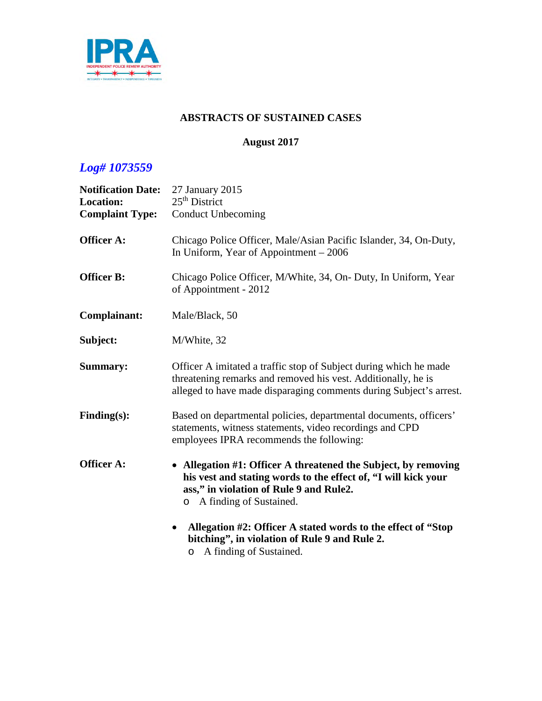

#### **ABSTRACTS OF SUSTAINED CASES**

#### **August 2017**

| <b>Notification Date:</b><br><b>Location:</b><br><b>Complaint Type:</b> | 27 January 2015<br>$25th$ District<br><b>Conduct Unbecoming</b>                                                                                                                                                                                                                                                                        |
|-------------------------------------------------------------------------|----------------------------------------------------------------------------------------------------------------------------------------------------------------------------------------------------------------------------------------------------------------------------------------------------------------------------------------|
| <b>Officer A:</b>                                                       | Chicago Police Officer, Male/Asian Pacific Islander, 34, On-Duty,<br>In Uniform, Year of Appointment $-2006$                                                                                                                                                                                                                           |
| <b>Officer B:</b>                                                       | Chicago Police Officer, M/White, 34, On- Duty, In Uniform, Year<br>of Appointment - 2012                                                                                                                                                                                                                                               |
| Complainant:                                                            | Male/Black, 50                                                                                                                                                                                                                                                                                                                         |
| Subject:                                                                | M/White, 32                                                                                                                                                                                                                                                                                                                            |
| <b>Summary:</b>                                                         | Officer A imitated a traffic stop of Subject during which he made<br>threatening remarks and removed his vest. Additionally, he is<br>alleged to have made disparaging comments during Subject's arrest.                                                                                                                               |
| $Finding(s)$ :                                                          | Based on departmental policies, departmental documents, officers'<br>statements, witness statements, video recordings and CPD<br>employees IPRA recommends the following:                                                                                                                                                              |
| <b>Officer A:</b>                                                       | • Allegation #1: Officer A threatened the Subject, by removing<br>his vest and stating words to the effect of, "I will kick your<br>ass," in violation of Rule 9 and Rule2.<br>o A finding of Sustained.<br>Allegation #2: Officer A stated words to the effect of "Stop<br>$\bullet$<br>bitching", in violation of Rule 9 and Rule 2. |
|                                                                         | o A finding of Sustained.                                                                                                                                                                                                                                                                                                              |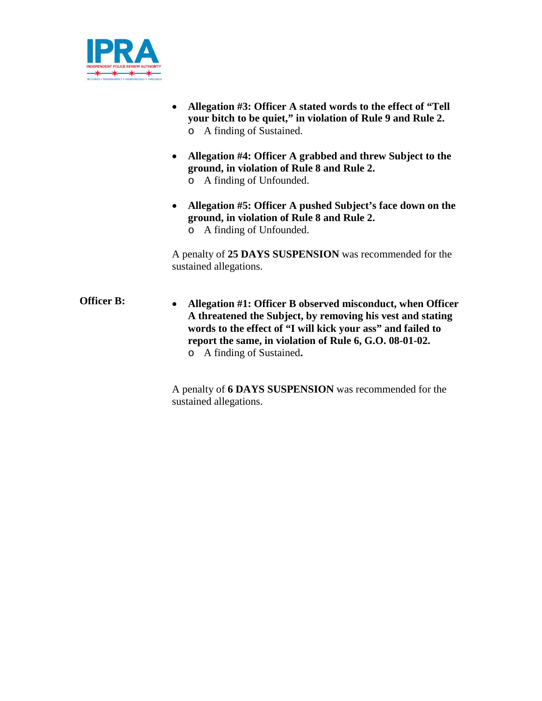

- **Allegation #3: Officer A stated words to the effect of "Tell your bitch to be quiet," in violation of Rule 9 and Rule 2.** o A finding of Sustained.
- **Allegation #4: Officer A grabbed and threw Subject to the ground, in violation of Rule 8 and Rule 2.**
	- o A finding of Unfounded.
- **Allegation #5: Officer A pushed Subject's face down on the ground, in violation of Rule 8 and Rule 2.**
	- o A finding of Unfounded.

A penalty of **25 DAYS SUSPENSION** was recommended for the sustained allegations.

**Officer B: Allegation #1: Officer B observed misconduct, when Officer A threatened the Subject, by removing his vest and stating words to the effect of "I will kick your ass" and failed to report the same, in violation of Rule 6, G.O. 08-01-02.** o A finding of Sustained**.**

> A penalty of **6 DAYS SUSPENSION** was recommended for the sustained allegations.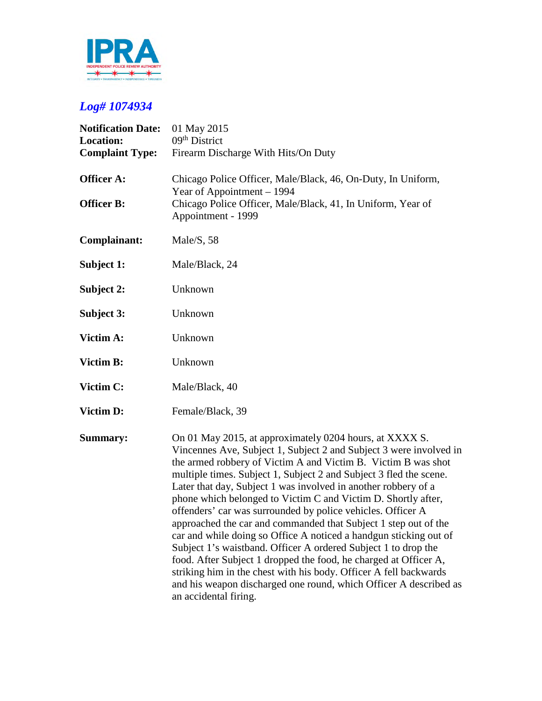

| <b>Notification Date:</b><br><b>Location:</b><br><b>Complaint Type:</b> | 01 May 2015<br>09 <sup>th</sup> District<br>Firearm Discharge With Hits/On Duty                                                                                                                                                                                                                                                                                                                                                                                                                                                                                                                                                                                                                                                                                                                                                                                                                                         |
|-------------------------------------------------------------------------|-------------------------------------------------------------------------------------------------------------------------------------------------------------------------------------------------------------------------------------------------------------------------------------------------------------------------------------------------------------------------------------------------------------------------------------------------------------------------------------------------------------------------------------------------------------------------------------------------------------------------------------------------------------------------------------------------------------------------------------------------------------------------------------------------------------------------------------------------------------------------------------------------------------------------|
| <b>Officer A:</b><br><b>Officer B:</b>                                  | Chicago Police Officer, Male/Black, 46, On-Duty, In Uniform,<br>Year of Appointment – 1994<br>Chicago Police Officer, Male/Black, 41, In Uniform, Year of<br>Appointment - 1999                                                                                                                                                                                                                                                                                                                                                                                                                                                                                                                                                                                                                                                                                                                                         |
| Complainant:                                                            | Male/S, 58                                                                                                                                                                                                                                                                                                                                                                                                                                                                                                                                                                                                                                                                                                                                                                                                                                                                                                              |
| Subject 1:                                                              | Male/Black, 24                                                                                                                                                                                                                                                                                                                                                                                                                                                                                                                                                                                                                                                                                                                                                                                                                                                                                                          |
| Subject 2:                                                              | Unknown                                                                                                                                                                                                                                                                                                                                                                                                                                                                                                                                                                                                                                                                                                                                                                                                                                                                                                                 |
| Subject 3:                                                              | Unknown                                                                                                                                                                                                                                                                                                                                                                                                                                                                                                                                                                                                                                                                                                                                                                                                                                                                                                                 |
| Victim A:                                                               | Unknown                                                                                                                                                                                                                                                                                                                                                                                                                                                                                                                                                                                                                                                                                                                                                                                                                                                                                                                 |
| Victim B:                                                               | Unknown                                                                                                                                                                                                                                                                                                                                                                                                                                                                                                                                                                                                                                                                                                                                                                                                                                                                                                                 |
| Victim C:                                                               | Male/Black, 40                                                                                                                                                                                                                                                                                                                                                                                                                                                                                                                                                                                                                                                                                                                                                                                                                                                                                                          |
| Victim D:                                                               | Female/Black, 39                                                                                                                                                                                                                                                                                                                                                                                                                                                                                                                                                                                                                                                                                                                                                                                                                                                                                                        |
| <b>Summary:</b>                                                         | On 01 May 2015, at approximately 0204 hours, at XXXX S.<br>Vincennes Ave, Subject 1, Subject 2 and Subject 3 were involved in<br>the armed robbery of Victim A and Victim B. Victim B was shot<br>multiple times. Subject 1, Subject 2 and Subject 3 fled the scene.<br>Later that day, Subject 1 was involved in another robbery of a<br>phone which belonged to Victim C and Victim D. Shortly after,<br>offenders' car was surrounded by police vehicles. Officer A<br>approached the car and commanded that Subject 1 step out of the<br>car and while doing so Office A noticed a handgun sticking out of<br>Subject 1's waistband. Officer A ordered Subject 1 to drop the<br>food. After Subject 1 dropped the food, he charged at Officer A,<br>striking him in the chest with his body. Officer A fell backwards<br>and his weapon discharged one round, which Officer A described as<br>an accidental firing. |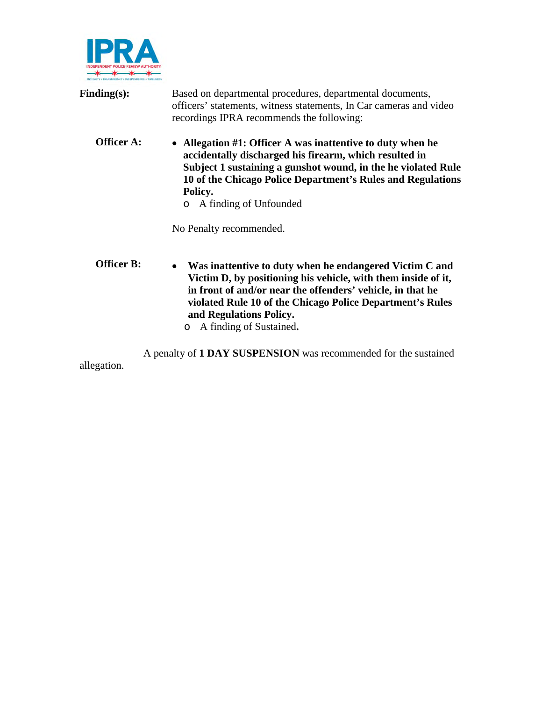

| Finding(s):       | Based on departmental procedures, departmental documents,<br>officers' statements, witness statements, In Car cameras and video<br>recordings IPRA recommends the following:                                                                                                                         |
|-------------------|------------------------------------------------------------------------------------------------------------------------------------------------------------------------------------------------------------------------------------------------------------------------------------------------------|
| <b>Officer A:</b> | • Allegation #1: Officer A was inattentive to duty when he<br>accidentally discharged his firearm, which resulted in<br>Subject 1 sustaining a gunshot wound, in the he violated Rule<br>10 of the Chicago Police Department's Rules and Regulations<br>Policy.<br>A finding of Unfounded<br>$\circ$ |
|                   | No Penalty recommended.                                                                                                                                                                                                                                                                              |
| <b>Officer B:</b> | Was inattentive to duty when he endangered Victim C and<br>$\bullet$<br>Victim D, by positioning his vehicle, with them inside of it,<br>in front of and/or near the offenders' vehicle, in that he<br>violated Rule 10 of the Chicago Police Department's Rules                                     |

**and Regulations Policy.**

o A finding of Sustained**.**

A penalty of **1 DAY SUSPENSION** was recommended for the sustained allegation.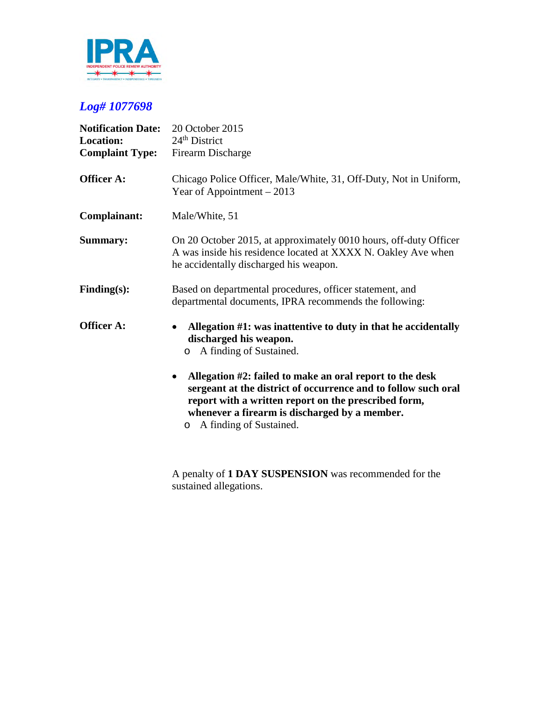

| <b>Notification Date:</b><br><b>Location:</b><br><b>Complaint Type:</b> | 20 October 2015<br>$24th$ District<br>Firearm Discharge                                                                                                                                                                                                                                                                                                                                                          |
|-------------------------------------------------------------------------|------------------------------------------------------------------------------------------------------------------------------------------------------------------------------------------------------------------------------------------------------------------------------------------------------------------------------------------------------------------------------------------------------------------|
| <b>Officer A:</b>                                                       | Chicago Police Officer, Male/White, 31, Off-Duty, Not in Uniform,<br>Year of Appointment $-2013$                                                                                                                                                                                                                                                                                                                 |
| Complainant:                                                            | Male/White, 51                                                                                                                                                                                                                                                                                                                                                                                                   |
| <b>Summary:</b>                                                         | On 20 October 2015, at approximately 0010 hours, off-duty Officer<br>A was inside his residence located at XXXX N. Oakley Ave when<br>he accidentally discharged his weapon.                                                                                                                                                                                                                                     |
| Finding(s):                                                             | Based on departmental procedures, officer statement, and<br>departmental documents, IPRA recommends the following:                                                                                                                                                                                                                                                                                               |
| <b>Officer A:</b>                                                       | Allegation #1: was inattentive to duty in that he accidentally<br>discharged his weapon.<br>A finding of Sustained.<br>$\circ$<br>Allegation #2: failed to make an oral report to the desk<br>٠<br>sergeant at the district of occurrence and to follow such oral<br>report with a written report on the prescribed form,<br>whenever a firearm is discharged by a member.<br>A finding of Sustained.<br>$\circ$ |
|                                                                         |                                                                                                                                                                                                                                                                                                                                                                                                                  |

A penalty of **1 DAY SUSPENSION** was recommended for the sustained allegations.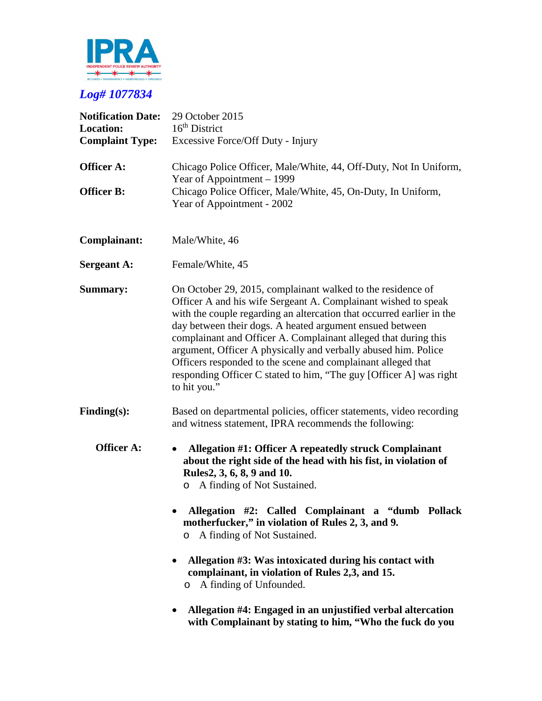

| <b>Notification Date:</b><br><b>Location:</b><br><b>Complaint Type:</b> | 29 October 2015<br>$16th$ District<br>Excessive Force/Off Duty - Injury                                                                                                                                                                                                                                                                                                                                                                                                                                                                                                                           |
|-------------------------------------------------------------------------|---------------------------------------------------------------------------------------------------------------------------------------------------------------------------------------------------------------------------------------------------------------------------------------------------------------------------------------------------------------------------------------------------------------------------------------------------------------------------------------------------------------------------------------------------------------------------------------------------|
| <b>Officer A:</b>                                                       | Chicago Police Officer, Male/White, 44, Off-Duty, Not In Uniform,<br>Year of Appointment – 1999                                                                                                                                                                                                                                                                                                                                                                                                                                                                                                   |
| <b>Officer B:</b>                                                       | Chicago Police Officer, Male/White, 45, On-Duty, In Uniform,<br>Year of Appointment - 2002                                                                                                                                                                                                                                                                                                                                                                                                                                                                                                        |
| Complainant:                                                            | Male/White, 46                                                                                                                                                                                                                                                                                                                                                                                                                                                                                                                                                                                    |
| <b>Sergeant A:</b>                                                      | Female/White, 45                                                                                                                                                                                                                                                                                                                                                                                                                                                                                                                                                                                  |
| <b>Summary:</b>                                                         | On October 29, 2015, complainant walked to the residence of<br>Officer A and his wife Sergeant A. Complainant wished to speak<br>with the couple regarding an altercation that occurred earlier in the<br>day between their dogs. A heated argument ensued between<br>complainant and Officer A. Complainant alleged that during this<br>argument, Officer A physically and verbally abused him. Police<br>Officers responded to the scene and complainant alleged that<br>responding Officer C stated to him, "The guy [Officer A] was right<br>to hit you."                                     |
| $Finding(s)$ :                                                          | Based on departmental policies, officer statements, video recording<br>and witness statement, IPRA recommends the following:                                                                                                                                                                                                                                                                                                                                                                                                                                                                      |
| <b>Officer A:</b>                                                       | Allegation #1: Officer A repeatedly struck Complainant<br>$\bullet$<br>about the right side of the head with his fist, in violation of<br>Rules2, 3, 6, 8, 9 and 10.<br>A finding of Not Sustained.<br>$\circ$<br>Allegation #2: Called Complainant a "dumb Pollack<br>motherfucker," in violation of Rules 2, 3, and 9.<br>A finding of Not Sustained.<br>$\circ$<br>Allegation #3: Was intoxicated during his contact with<br>$\bullet$<br>complainant, in violation of Rules 2,3, and 15.<br>A finding of Unfounded.<br>$\circ$<br>Allegation #4: Engaged in an unjustified verbal altercation |
|                                                                         | with Complainant by stating to him, "Who the fuck do you                                                                                                                                                                                                                                                                                                                                                                                                                                                                                                                                          |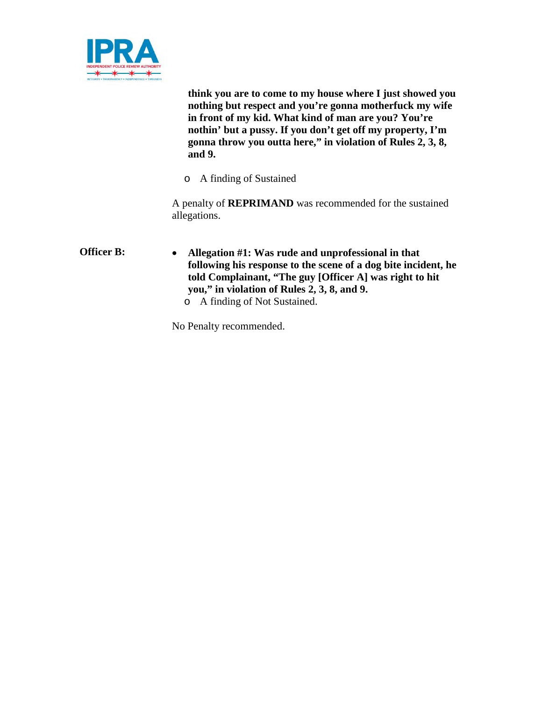

**think you are to come to my house where I just showed you nothing but respect and you're gonna motherfuck my wife in front of my kid. What kind of man are you? You're nothin' but a pussy. If you don't get off my property, I'm gonna throw you outta here," in violation of Rules 2, 3, 8, and 9.**

o A finding of Sustained

A penalty of **REPRIMAND** was recommended for the sustained allegations.

**Officer B: Allegation #1: Was rude and unprofessional in that following his response to the scene of a dog bite incident, he told Complainant, "The guy [Officer A] was right to hit you," in violation of Rules 2, 3, 8, and 9.** o A finding of Not Sustained.

No Penalty recommended.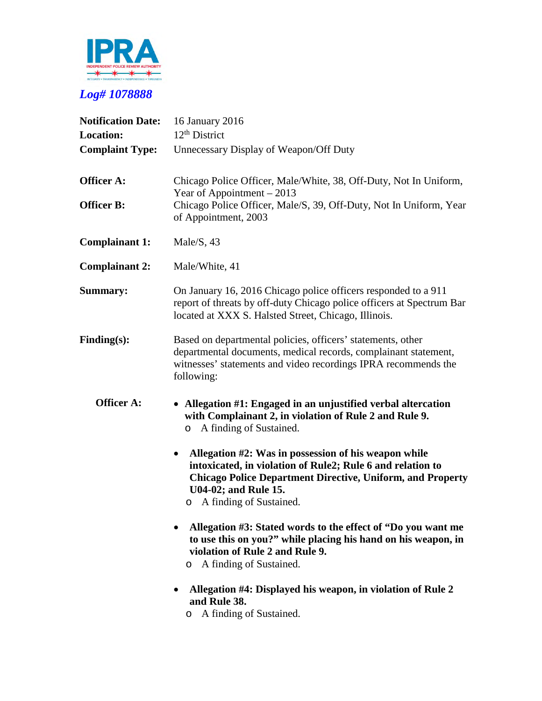

| <b>Notification Date:</b> | 16 January 2016                                                                                                                                                                                                                                              |
|---------------------------|--------------------------------------------------------------------------------------------------------------------------------------------------------------------------------------------------------------------------------------------------------------|
| <b>Location:</b>          | $12th$ District                                                                                                                                                                                                                                              |
| <b>Complaint Type:</b>    | Unnecessary Display of Weapon/Off Duty                                                                                                                                                                                                                       |
| <b>Officer A:</b>         | Chicago Police Officer, Male/White, 38, Off-Duty, Not In Uniform,<br>Year of Appointment $-2013$                                                                                                                                                             |
| <b>Officer B:</b>         | Chicago Police Officer, Male/S, 39, Off-Duty, Not In Uniform, Year<br>of Appointment, 2003                                                                                                                                                                   |
| <b>Complainant 1:</b>     | Male/S, $43$                                                                                                                                                                                                                                                 |
| <b>Complainant 2:</b>     | Male/White, 41                                                                                                                                                                                                                                               |
| <b>Summary:</b>           | On January 16, 2016 Chicago police officers responded to a 911<br>report of threats by off-duty Chicago police officers at Spectrum Bar<br>located at XXX S. Halsted Street, Chicago, Illinois.                                                              |
| $Finding(s)$ :            | Based on departmental policies, officers' statements, other<br>departmental documents, medical records, complainant statement,<br>witnesses' statements and video recordings IPRA recommends the<br>following:                                               |
| <b>Officer A:</b>         | Allegation #1: Engaged in an unjustified verbal altercation<br>with Complainant 2, in violation of Rule 2 and Rule 9.<br>A finding of Sustained.<br>$\circ$                                                                                                  |
|                           | Allegation #2: Was in possession of his weapon while<br>$\bullet$<br>intoxicated, in violation of Rule2; Rule 6 and relation to<br><b>Chicago Police Department Directive, Uniform, and Property</b><br>U04-02; and Rule 15.<br>A finding of Sustained.<br>O |
|                           | Allegation #3: Stated words to the effect of "Do you want me<br>to use this on you?" while placing his hand on his weapon, in<br>violation of Rule 2 and Rule 9.<br>A finding of Sustained.<br>$\circ$                                                       |
|                           | Allegation #4: Displayed his weapon, in violation of Rule 2<br>and Rule 38.<br>A finding of Sustained.<br>O                                                                                                                                                  |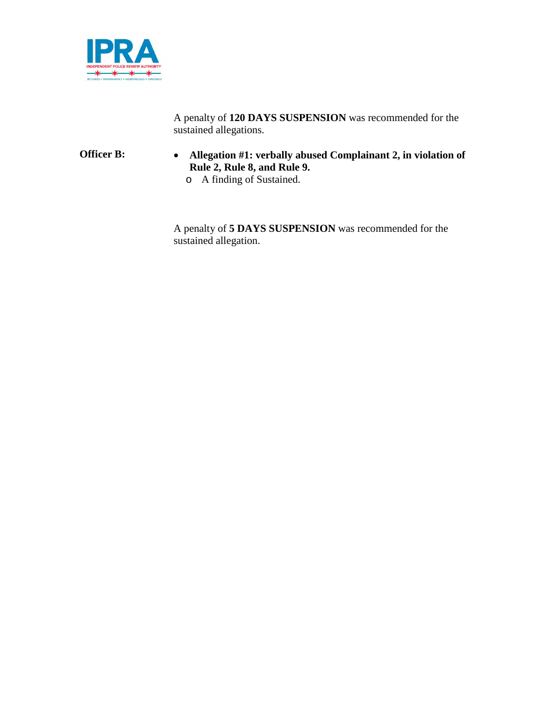

A penalty of **120 DAYS SUSPENSION** was recommended for the sustained allegations.

#### **Officer B: Allegation #1: verbally abused Complainant 2, in violation of Rule 2, Rule 8, and Rule 9.**

o A finding of Sustained.

A penalty of **5 DAYS SUSPENSION** was recommended for the sustained allegation.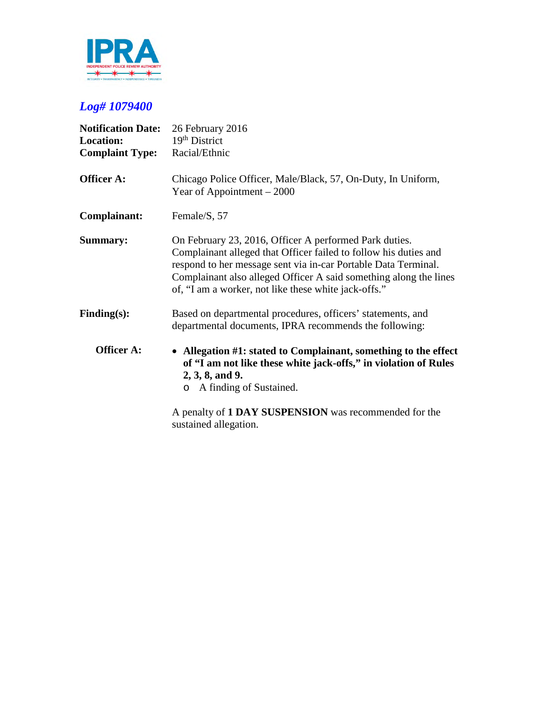

| <b>Notification Date:</b><br><b>Location:</b><br><b>Complaint Type:</b> | 26 February 2016<br>$19th$ District<br>Racial/Ethnic                                                                                                                                                                                                                                                                      |
|-------------------------------------------------------------------------|---------------------------------------------------------------------------------------------------------------------------------------------------------------------------------------------------------------------------------------------------------------------------------------------------------------------------|
| <b>Officer A:</b>                                                       | Chicago Police Officer, Male/Black, 57, On-Duty, In Uniform,<br>Year of Appointment $-2000$                                                                                                                                                                                                                               |
| Complainant:                                                            | Female/S, 57                                                                                                                                                                                                                                                                                                              |
| <b>Summary:</b>                                                         | On February 23, 2016, Officer A performed Park duties.<br>Complainant alleged that Officer failed to follow his duties and<br>respond to her message sent via in-car Portable Data Terminal.<br>Complainant also alleged Officer A said something along the lines<br>of, "I am a worker, not like these white jack-offs." |
| Finding(s):                                                             | Based on departmental procedures, officers' statements, and<br>departmental documents, IPRA recommends the following:                                                                                                                                                                                                     |
| Officer A:                                                              | • Allegation #1: stated to Complainant, something to the effect<br>of "I am not like these white jack-offs," in violation of Rules<br>$2, 3, 8,$ and 9.<br>o A finding of Sustained.<br>A penalty of 1 DAY SUSPENSION was recommended for the<br>sustained allegation.                                                    |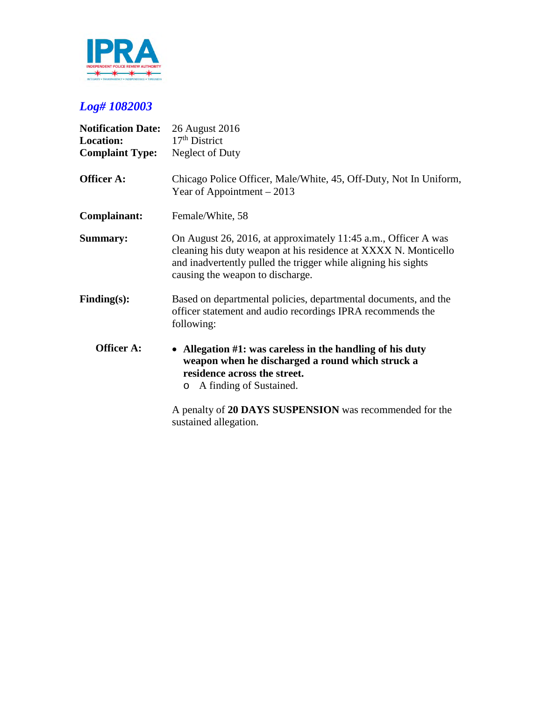

| <b>Notification Date:</b><br><b>Location:</b><br><b>Complaint Type:</b> | 26 August 2016<br>$17th$ District<br>Neglect of Duty                                                                                                                                                                                    |
|-------------------------------------------------------------------------|-----------------------------------------------------------------------------------------------------------------------------------------------------------------------------------------------------------------------------------------|
| <b>Officer A:</b>                                                       | Chicago Police Officer, Male/White, 45, Off-Duty, Not In Uniform,<br>Year of Appointment $-2013$                                                                                                                                        |
| Complainant:                                                            | Female/White, 58                                                                                                                                                                                                                        |
| <b>Summary:</b>                                                         | On August 26, 2016, at approximately 11:45 a.m., Officer A was<br>cleaning his duty weapon at his residence at XXXX N. Monticello<br>and inadvertently pulled the trigger while aligning his sights<br>causing the weapon to discharge. |
| $Finding(s)$ :                                                          | Based on departmental policies, departmental documents, and the<br>officer statement and audio recordings IPRA recommends the<br>following:                                                                                             |
| <b>Officer A:</b>                                                       | • Allegation #1: was careless in the handling of his duty<br>weapon when he discharged a round which struck a<br>residence across the street.<br>A finding of Sustained.<br>$\circ$                                                     |
|                                                                         | A penalty of 20 DAYS SUSPENSION was recommended for the                                                                                                                                                                                 |

sustained allegation.